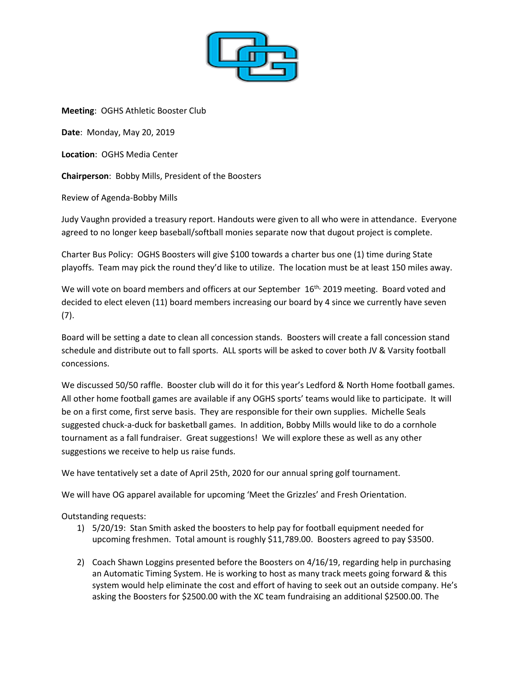

**Meeting**: OGHS Athletic Booster Club

**Date**: Monday, May 20, 2019

**Location**: OGHS Media Center

**Chairperson**: Bobby Mills, President of the Boosters

Review of Agenda-Bobby Mills

Judy Vaughn provided a treasury report. Handouts were given to all who were in attendance. Everyone agreed to no longer keep baseball/softball monies separate now that dugout project is complete.

Charter Bus Policy: OGHS Boosters will give \$100 towards a charter bus one (1) time during State playoffs. Team may pick the round they'd like to utilize. The location must be at least 150 miles away.

We will vote on board members and officers at our September 16<sup>th,</sup> 2019 meeting. Board voted and decided to elect eleven (11) board members increasing our board by 4 since we currently have seven (7).

Board will be setting a date to clean all concession stands. Boosters will create a fall concession stand schedule and distribute out to fall sports. ALL sports will be asked to cover both JV & Varsity football concessions.

We discussed 50/50 raffle. Booster club will do it for this year's Ledford & North Home football games. All other home football games are available if any OGHS sports' teams would like to participate. It will be on a first come, first serve basis. They are responsible for their own supplies. Michelle Seals suggested chuck-a-duck for basketball games. In addition, Bobby Mills would like to do a cornhole tournament as a fall fundraiser. Great suggestions! We will explore these as well as any other suggestions we receive to help us raise funds.

We have tentatively set a date of April 25th, 2020 for our annual spring golf tournament.

We will have OG apparel available for upcoming 'Meet the Grizzles' and Fresh Orientation.

Outstanding requests:

- 1) 5/20/19: Stan Smith asked the boosters to help pay for football equipment needed for upcoming freshmen. Total amount is roughly \$11,789.00. Boosters agreed to pay \$3500.
- 2) Coach Shawn Loggins presented before the Boosters on 4/16/19, regarding help in purchasing an Automatic Timing System. He is working to host as many track meets going forward & this system would help eliminate the cost and effort of having to seek out an outside company. He's asking the Boosters for \$2500.00 with the XC team fundraising an additional \$2500.00. The